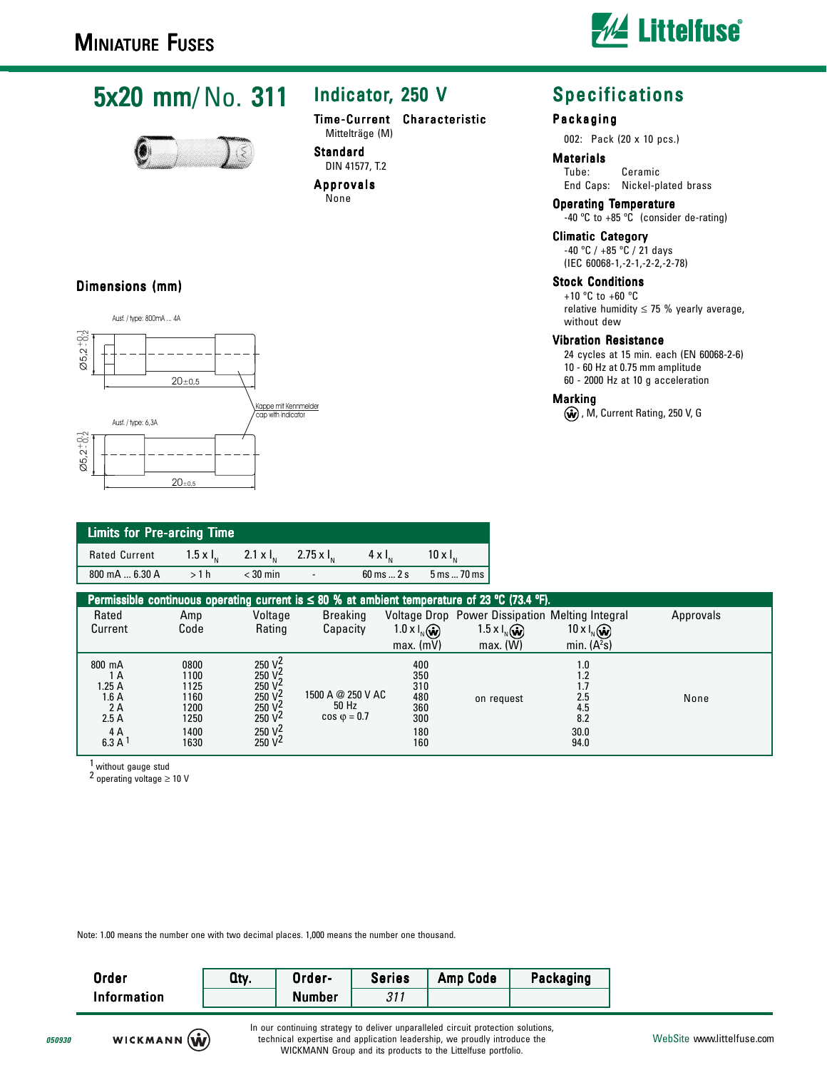Ausf. / type: 800mA ... 4A

Dimensions (mm)



## 5x20 mm/No. 311



### Indicator, 250 V

Time-Current Characteristic Mittelträge (M)

#### Standard DIN 41577, T.2 Approvals

None

### **Specifications**

### Packaging

002: Pack (20 x 10 pcs.)

### **Materials**<br>Tube:

Ceramic End Caps: Nickel-plated brass

Operating Temperature -40 ºC to +85 ºC (consider de-rating)

Climatic Category

-40 ºC / +85 ºC / 21 days (IEC 60068-1,-2-1,-2-2,-2-78)

### Stock Conditions

+10 ºC to +60 ºC relative humidity  $\leq$  75 % yearly average, without dew

#### Vibration Resistance

24 cycles at 15 min. each (EN 60068-2-6) 10 - 60 Hz at 0.75 mm amplitude 60 - 2000 Hz at 10 g acceleration

#### **Marking**

, M, Current Rating, 250 V, G

| $\emptyset$ 5,2 <sup>+0</sup> <sub>2</sub>                |                    | $20 + 0.5$     |                                            |
|-----------------------------------------------------------|--------------------|----------------|--------------------------------------------|
| $\varnothing$ 5,2 <sup>+</sup> $\frac{0}{2}$ <sup>1</sup> | Ausf. / type: 6,3A | $20_{\pm 0.5}$ | Kappe mit Kennmelder<br>cap with indicator |

| <b>Limits for Pre-arcing Time</b> |      |                                                           |        |                                   |                       |  |  |
|-----------------------------------|------|-----------------------------------------------------------|--------|-----------------------------------|-----------------------|--|--|
| <b>Rated Current</b>              |      | $1.5 \times I_{N}$ 2.1 $\times I_{N}$ 2.75 $\times I_{N}$ |        | $4 \times 1$                      | $10 \times I_{\rm m}$ |  |  |
| 800 mA  6.30 A                    | >1 h | $<$ 30 min                                                | $\sim$ | $60 \text{ ms} \dots 2 \text{ s}$ | 5 ms  70 ms 1         |  |  |

| Permissible continuous operating current is $\leq 80$ % at ambient temperature of 23 °C (73.4 °F). |                                                              |                                                                                                                                                            |                                                    |                                                      |                                                 |                                                        |           |
|----------------------------------------------------------------------------------------------------|--------------------------------------------------------------|------------------------------------------------------------------------------------------------------------------------------------------------------------|----------------------------------------------------|------------------------------------------------------|-------------------------------------------------|--------------------------------------------------------|-----------|
| Rated                                                                                              | Amp                                                          | Voltage                                                                                                                                                    | <b>Breaking</b>                                    |                                                      | Voltage Drop Power Dissipation Melting Integral |                                                        | Approvals |
| Current                                                                                            | Code                                                         | Rating                                                                                                                                                     | Capacity                                           | $1.0 \times I_{N}(\hat{\omega})$                     | $1.5 \times I_{N}(\hat{\omega})$                | $10 \times I_N$ $\omega$                               |           |
|                                                                                                    |                                                              |                                                                                                                                                            |                                                    | $max.$ (mV)                                          | max. (W)                                        | min. $(A2s)$                                           |           |
| 800 mA<br>1 A<br>1.25 A<br>1.6 A<br>2A<br>2.5A<br>4 A<br>6.3 A <sup>1</sup>                        | 0800<br>1100<br>1125<br>1160<br>1200<br>1250<br>1400<br>1630 | 250 $V_2^2$<br>250 $\sqrt{2}$<br>250 $\sqrt{2}$<br>250 $\sqrt{2}$<br>$\frac{250 \text{ V}^2}{250 \text{ V}^2}$<br>250 V <sub>2</sub><br>250 V <sup>2</sup> | 1500 A @ 250 V AC<br>50 Hz<br>$\cos \varphi = 0.7$ | 400<br>350<br>310<br>480<br>360<br>300<br>180<br>160 | on request                                      | 1.0<br>1.2<br>1.7<br>2.5<br>4.5<br>8.2<br>30.0<br>94.0 | None      |

1 without gauge stud

2 operating voltage ≥ 10 V

Note: 1.00 means the number one with two decimal places. 1,000 means the number one thousand.

| <b>Order</b>       | Qty. | Order-        | <b>Series</b> | <b>Amp Code</b> | Packaging |
|--------------------|------|---------------|---------------|-----------------|-----------|
| <b>Information</b> |      | <b>Number</b> | 211<br>، ا ت  |                 |           |